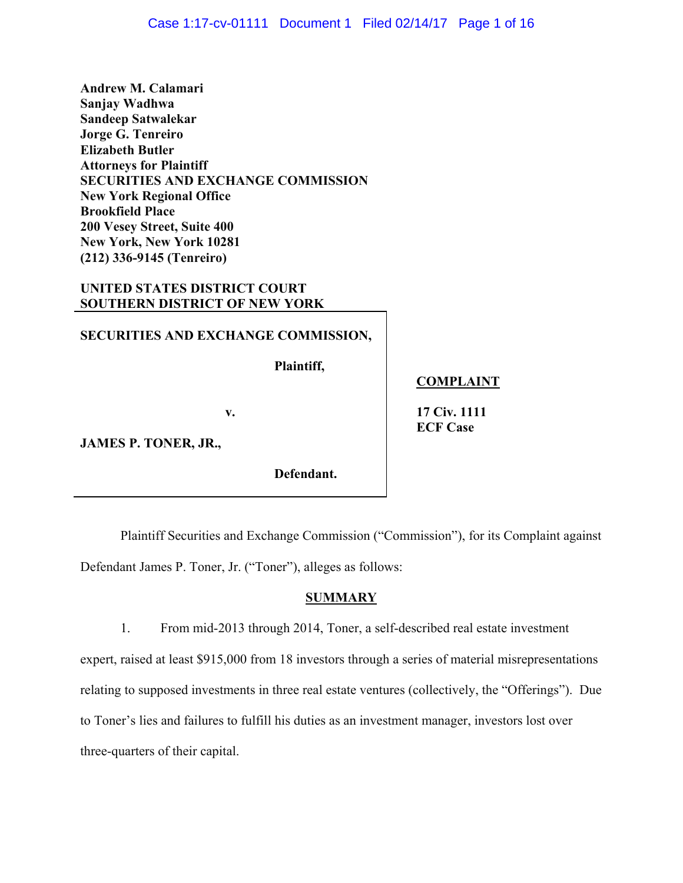**Andrew M. Calamari Sanjay Wadhwa Sandeep Satwalekar Jorge G. Tenreiro Elizabeth Butler Attorneys for Plaintiff SECURITIES AND EXCHANGE COMMISSION New York Regional Office Brookfield Place 200 Vesey Street, Suite 400 New York, New York 10281 (212) 336-9145 (Tenreiro)** 

# **UNITED STATES DISTRICT COURT SOUTHERN DISTRICT OF NEW YORK**

### **SECURITIES AND EXCHANGE COMMISSION,**

Plaintiff,

**Plaintiff, COMPLAINT** 

**v.** 17 Civ. 1111 **ECF Case** 

**JAMES P. TONER, JR.,** 

**Defendant.** 

Plaintiff Securities and Exchange Commission ("Commission"), for its Complaint against Defendant James P. Toner, Jr. ("Toner"), alleges as follows:

## **SUMMARY**

 three-quarters of their capital. 1. From mid-2013 through 2014, Toner, a self-described real estate investment expert, raised at least \$915,000 from 18 investors through a series of material misrepresentations relating to supposed investments in three real estate ventures (collectively, the "Offerings"). Due to Toner's lies and failures to fulfill his duties as an investment manager, investors lost over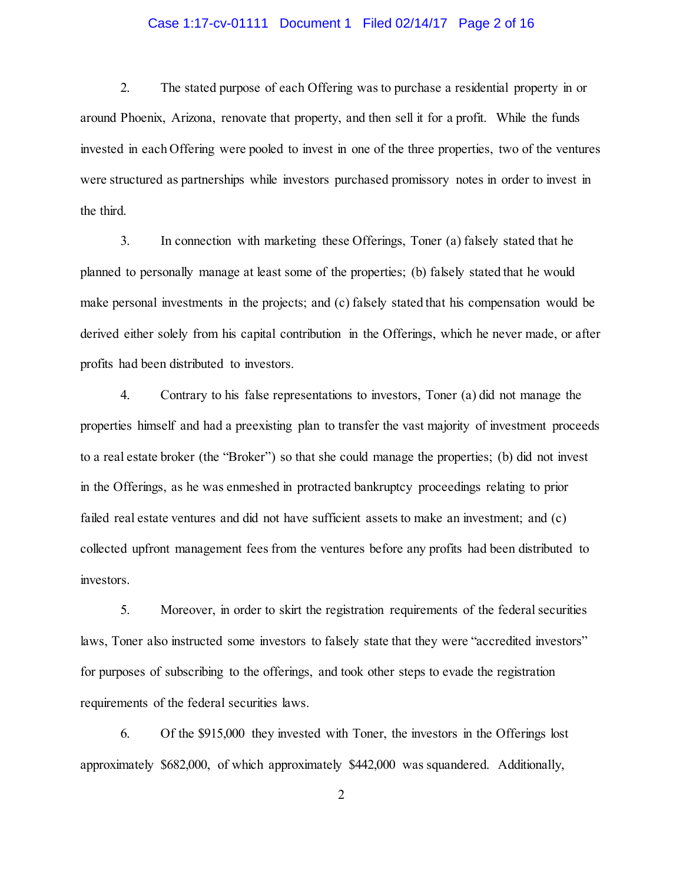#### Case 1:17-cv-01111 Document 1 Filed 02/14/17 Page 2 of 16

 2. The stated purpose of each Offering was to purchase a residential property in or around Phoenix, Arizona, renovate that property, and then sell it for a profit. While the funds invested in each Offering were pooled to invest in one of the three properties, two of the ventures were structured as partnerships while investors purchased promissory notes in order to invest in the third.

 3. In connection with marketing these Offerings, Toner (a) falsely stated that he planned to personally manage at least some of the properties; (b) falsely stated that he would make personal investments in the projects; and (c) falsely stated that his compensation would be derived either solely from his capital contribution in the Offerings, which he never made, or after profits had been distributed to investors.

 4. Contrary to his false representations to investors, Toner (a) did not manage the properties himself and had a preexisting plan to transfer the vast majority of investment proceeds to a real estate broker (the "Broker") so that she could manage the properties; (b) did not invest failed real estate ventures and did not have sufficient assets to make an investment; and (c) collected upfront management fees from the ventures before any profits had been distributed to in the Offerings, as he was enmeshed in protracted bankruptcy proceedings relating to prior investors.

 5. Moreover, in order to skirt the registration requirements of the federal securities laws, Toner also instructed some investors to falsely state that they were "accredited investors" for purposes of subscribing to the offerings, and took other steps to evade the registration requirements of the federal securities laws.

 6. Of the \$915,000 they invested with Toner, the investors in the Offerings lost approximately \$682,000, of which approximately \$442,000 was squandered. Additionally,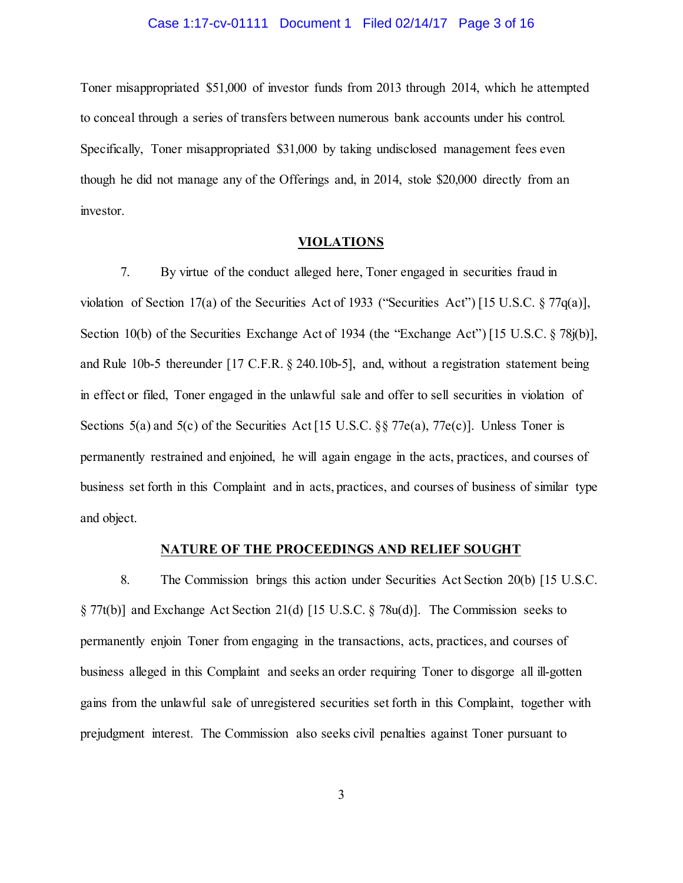#### Case 1:17-cv-01111 Document 1 Filed 02/14/17 Page 3 of 16

 Toner misappropriated \$51,000 of investor funds from 2013 through 2014, which he attempted to conceal through a series of transfers between numerous bank accounts under his control. Specifically, Toner misappropriated \$31,000 by taking undisclosed management fees even though he did not manage any of the Offerings and, in 2014, stole \$20,000 directly from an investor.

#### **VIOLATIONS**

 7. By virtue of the conduct alleged here, Toner engaged in securities fraud in violation of Section 17(a) of the Securities Act of 1933 ("Securities Act") [15 U.S.C. § 77q(a)], Section 10(b) of the Securities Exchange Act of 1934 (the "Exchange Act") [15 U.S.C. § 78j(b)], and Rule 10b-5 thereunder [17 C.F.R. § 240.10b-5], and, without a registration statement being in effect or filed, Toner engaged in the unlawful sale and offer to sell securities in violation of Sections 5(a) and 5(c) of the Securities Act [15 U.S.C. §§ 77e(a), 77e(c)]. Unless Toner is permanently restrained and enjoined, he will again engage in the acts, practices, and courses of business set forth in this Complaint and in acts, practices, and courses of business of similar type and object.

#### **NATURE OF THE PROCEEDINGS AND RELIEF SOUGHT**

 8. The Commission brings this action under Securities Act Section 20(b) [15 U.S.C. § 77t(b)] and Exchange Act Section 21(d) [15 U.S.C. § 78u(d)]. The Commission seeks to permanently enjoin Toner from engaging in the transactions, acts, practices, and courses of business alleged in this Complaint and seeks an order requiring Toner to disgorge all ill-gotten gains from the unlawful sale of unregistered securities set forth in this Complaint, together with prejudgment interest. The Commission also seeks civil penalties against Toner pursuant to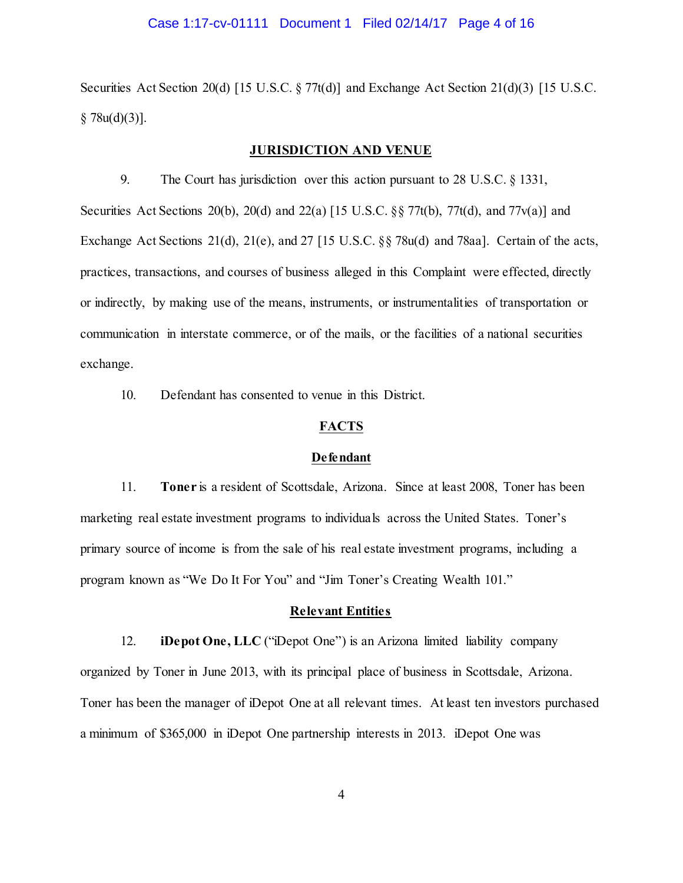#### Case 1:17-cv-01111 Document 1 Filed 02/14/17 Page 4 of 16

 Securities Act Section 20(d) [15 U.S.C. § 77t(d)] and Exchange Act Section 21(d)(3) [15 U.S.C.  $§ 78u(d)(3)].$ 

### **JURISDICTION AND VENUE**

 9. The Court has jurisdiction over this action pursuant to 28 U.S.C. § 1331, Securities Act Sections 20(b), 20(d) and 22(a) [15 U.S.C. §§ 77t(b), 77t(d), and 77v(a)] and Exchange Act Sections 21(d), 21(e), and 27 [15 U.S.C. §§ 78u(d) and 78aa]. Certain of the acts, practices, transactions, and courses of business alleged in this Complaint were effected, directly or indirectly, by making use of the means, instruments, or instrumentalities of transportation or communication in interstate commerce, or of the mails, or the facilities of a national securities exchange. exchange.<br>10. Defendant has consented to venue in this District.

#### **FACTS**

#### **Defendant**

 11. **Toner** is a resident of Scottsdale, Arizona. Since at least 2008, Toner has been marketing real estate investment programs to individuals across the United States. Toner's primary source of income is from the sale of his real estate investment programs, including a program known as "We Do It For You" and "Jim Toner's Creating Wealth 101."

### **Relevant Entities**

12. **iDepot One, LLC** ("Depot One") is an Arizona limited liability company organized by Toner in June 2013, with its principal place of business in Scottsdale, Arizona. Toner has been the manager of iDepot One at all relevant times. At least ten investors purchased a minimum of \$365,000 in iDepot One partnership interests in 2013. iDepot One was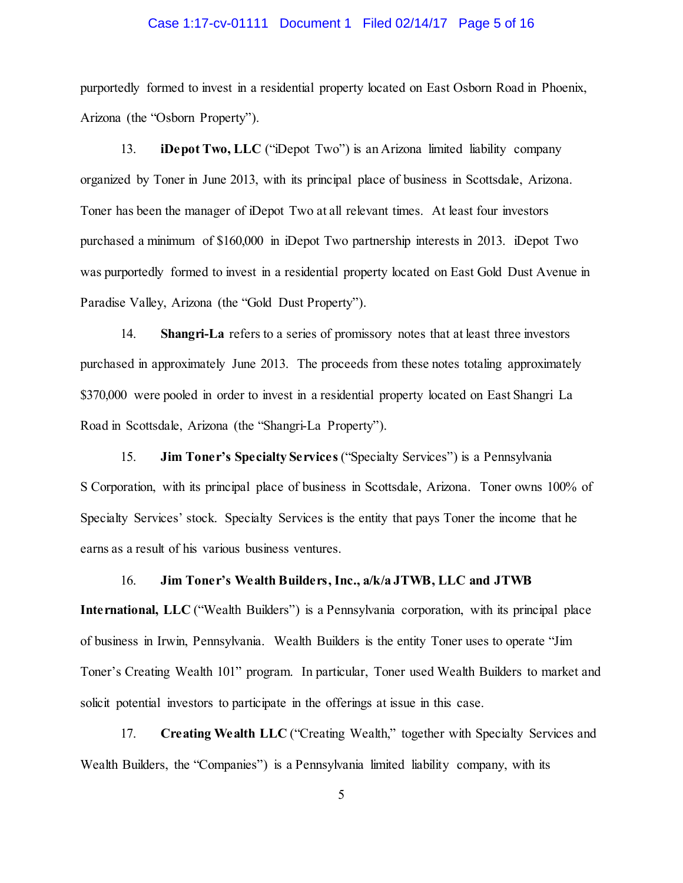#### Case 1:17-cv-01111 Document 1 Filed 02/14/17 Page 5 of 16

 purportedly formed to invest in a residential property located on East Osborn Road in Phoenix, Arizona (the "Osborn Property").

13. **iDepot Two, LLC** ("Depot Two") is an Arizona limited liability company organized by Toner in June 2013, with its principal place of business in Scottsdale, Arizona. Toner has been the manager of iDepot Two at all relevant times. At least four investors purchased a minimum of \$160,000 in iDepot Two partnership interests in 2013. iDepot Two was purportedly formed to invest in a residential property located on East Gold Dust Avenue in Paradise Valley, Arizona (the "Gold Dust Property").

 14. **Shangri-La** refers to a series of promissory notes that at least three investors purchased in approximately June 2013. The proceeds from these notes totaling approximately \$370,000 were pooled in order to invest in a residential property located on East Shangri La Road in Scottsdale, Arizona (the "Shangri-La Property").

 15. **Jim Toner's Specialty Services** ("Specialty Services") is a Pennsylvania S Corporation, with its principal place of business in Scottsdale, Arizona. Toner owns 100% of Specialty Services' stock. Specialty Services is the entity that pays Toner the income that he earns as a result of his various business ventures.

#### 16. **Jim Toner's Wealth Builders, Inc., a/k/a JTWB, LLC and JTWB**

 **International, LLC** ("Wealth Builders") is a Pennsylvania corporation, with its principal place of business in Irwin, Pennsylvania. Wealth Builders is the entity Toner uses to operate "Jim Toner's Creating Wealth 101" program. In particular, Toner used Wealth Builders to market and solicit potential investors to participate in the offerings at issue in this case.

17. **Creating Wealth LLC** ("Creating Wealth," together with Specialty Services and Wealth Builders, the "Companies") is a Pennsylvania limited liability company, with its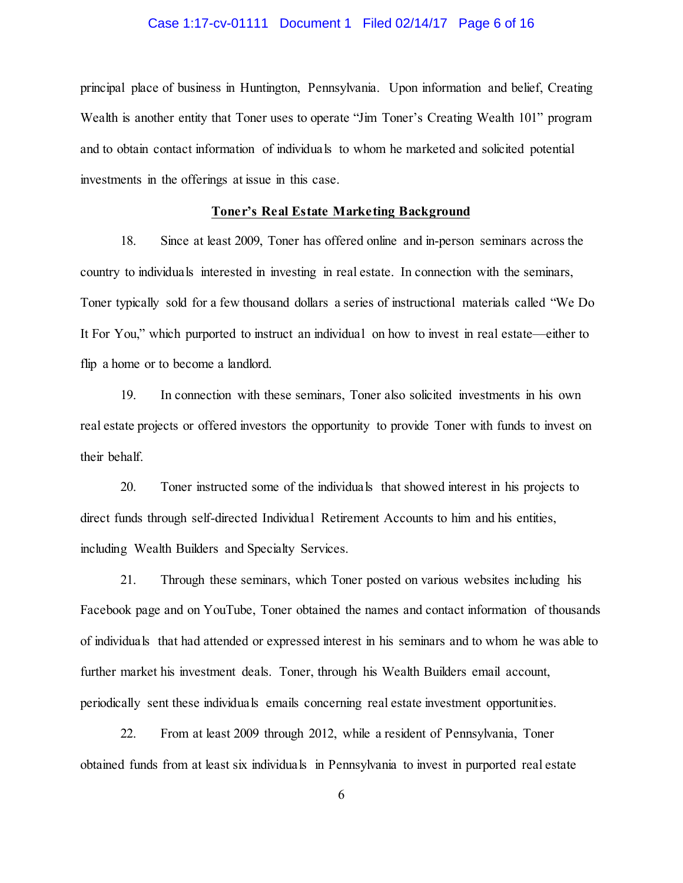#### Case 1:17-cv-01111 Document 1 Filed 02/14/17 Page 6 of 16

 principal place of business in Huntington, Pennsylvania. Upon information and belief, Creating Wealth is another entity that Toner uses to operate "Jim Toner's Creating Wealth 101" program and to obtain contact information of individuals to whom he marketed and solicited potential investments in the offerings at issue in this case.

#### **Toner's Real Estate Marketing Background**

 18. Since at least 2009, Toner has offered online and in-person seminars across the country to individuals interested in investing in real estate. In connection with the seminars, Toner typically sold for a few thousand dollars a series of instructional materials called "We Do It For You," which purported to instruct an individual on how to invest in real estate—either to flip a home or to become a landlord.

 19. In connection with these seminars, Toner also solicited investments in his own real estate projects or offered investors the opportunity to provide Toner with funds to invest on their behalf.

 20. Toner instructed some of the individuals that showed interest in his projects to direct funds through self-directed Individual Retirement Accounts to him and his entities, including Wealth Builders and Specialty Services.

 21. Through these seminars, which Toner posted on various websites including his Facebook page and on YouTube, Toner obtained the names and contact information of thousands of individuals that had attended or expressed interest in his seminars and to whom he was able to further market his investment deals. Toner, through his Wealth Builders email account, periodically sent these individuals emails concerning real estate investment opportunities.

 22. From at least 2009 through 2012, while a resident of Pennsylvania, Toner obtained funds from at least six individuals in Pennsylvania to invest in purported real estate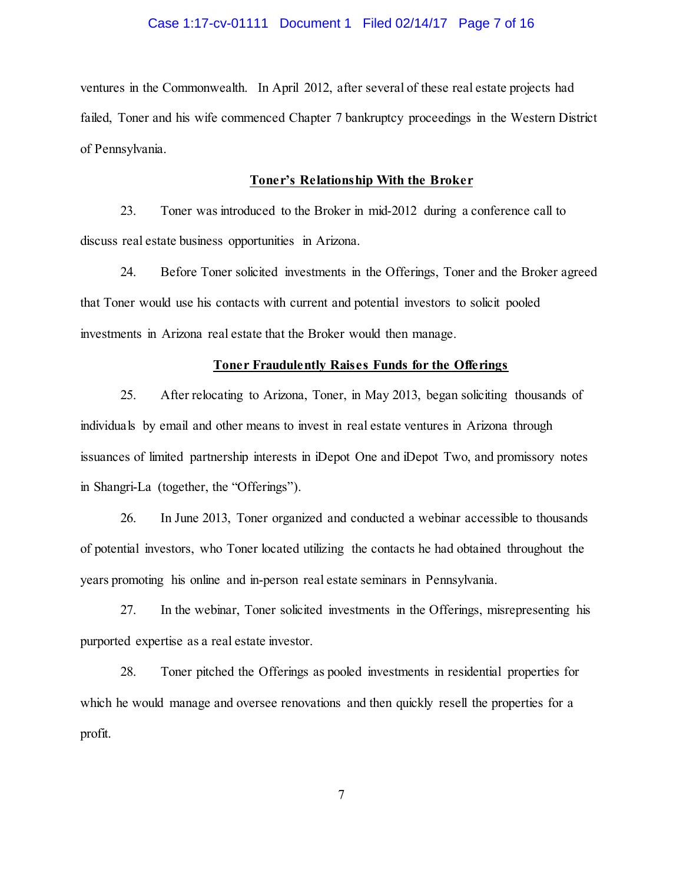#### Case 1:17-cv-01111 Document 1 Filed 02/14/17 Page 7 of 16

 ventures in the Commonwealth. In April 2012, after several of these real estate projects had failed, Toner and his wife commenced Chapter 7 bankruptcy proceedings in the Western District of Pennsylvania.

### **Toner's Relationship With the Broker**

 23. Toner was introduced to the Broker in mid-2012 during a conference call to discuss real estate business opportunities in Arizona.

 24. Before Toner solicited investments in the Offerings, Toner and the Broker agreed that Toner would use his contacts with current and potential investors to solicit pooled investments in Arizona real estate that the Broker would then manage.

#### **Toner Fraudulently Raises Funds for the Offerings**

 25. After relocating to Arizona, Toner, in May 2013, began soliciting thousands of individuals by email and other means to invest in real estate ventures in Arizona through issuances of limited partnership interests in iDepot One and iDepot Two, and promissory notes in Shangri-La (together, the "Offerings").

 26. In June 2013, Toner organized and conducted a webinar accessible to thousands of potential investors, who Toner located utilizing the contacts he had obtained throughout the years promoting his online and in-person real estate seminars in Pennsylvania.

 27. In the webinar, Toner solicited investments in the Offerings, misrepresenting his purported expertise as a real estate investor.

 28. Toner pitched the Offerings as pooled investments in residential properties for which he would manage and oversee renovations and then quickly resell the properties for a profit.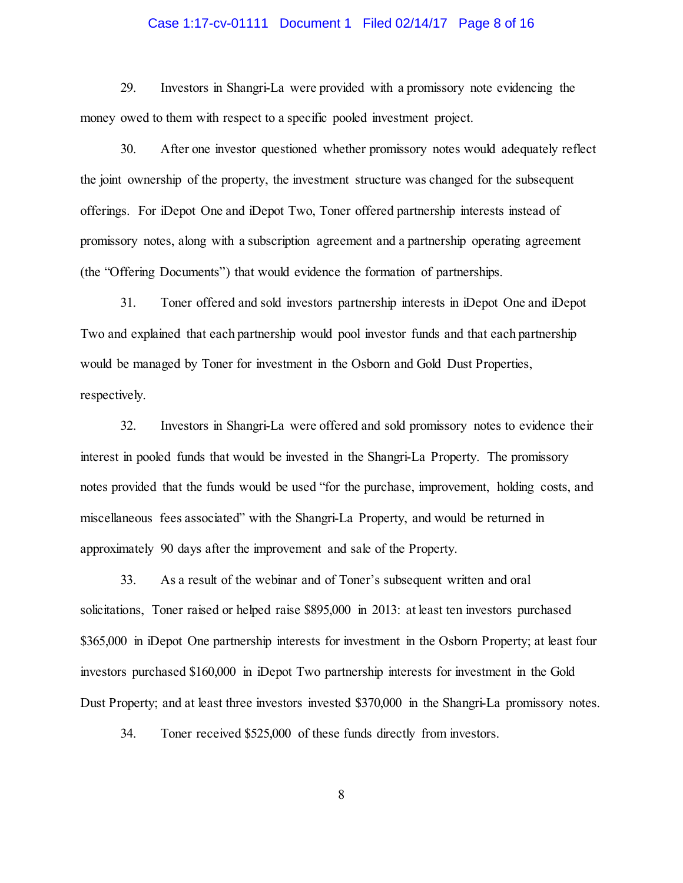#### Case 1:17-cv-01111 Document 1 Filed 02/14/17 Page 8 of 16

 money owed to them with respect to a specific pooled investment project. 29. Investors in Shangri-La were provided with a promissory note evidencing the

 30. After one investor questioned whether promissory notes would adequately reflect the joint ownership of the property, the investment structure was changed for the subsequent offerings. For iDepot One and iDepot Two, Toner offered partnership interests instead of promissory notes, along with a subscription agreement and a partnership operating agreement (the "Offering Documents") that would evidence the formation of partnerships.

 31. Toner offered and sold investors partnership interests in iDepot One and iDepot Two and explained that each partnership would pool investor funds and that each partnership would be managed by Toner for investment in the Osborn and Gold Dust Properties, respectively.

 32. Investors in Shangri-La were offered and sold promissory notes to evidence their interest in pooled funds that would be invested in the Shangri-La Property. The promissory notes provided that the funds would be used "for the purchase, improvement, holding costs, and miscellaneous fees associated" with the Shangri-La Property, and would be returned in approximately 90 days after the improvement and sale of the Property.

 33. As a result of the webinar and of Toner's subsequent written and oral solicitations, Toner raised or helped raise \$895,000 in 2013: at least ten investors purchased \$365,000 in iDepot One partnership interests for investment in the Osborn Property; at least four Dust Property; and at least three investors invested \$370,000 in the Shangri-La promissory notes. investors purchased \$160,000 in iDepot Two partnership interests for investment in the Gold

34. Toner received \$525,000 of these funds directly from investors.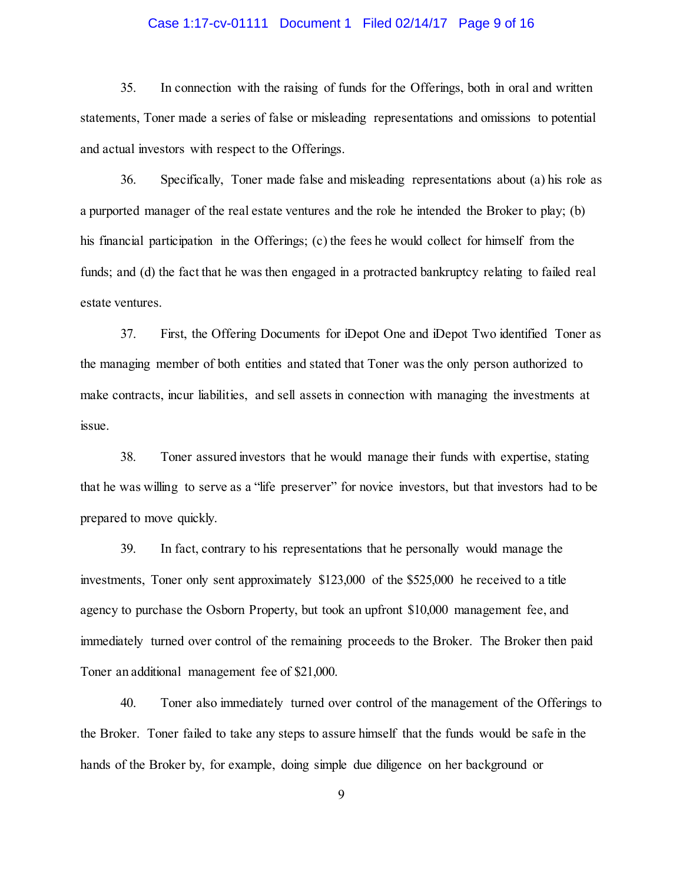#### Case 1:17-cv-01111 Document 1 Filed 02/14/17 Page 9 of 16

 35. In connection with the raising of funds for the Offerings, both in oral and written statements, Toner made a series of false or misleading representations and omissions to potential and actual investors with respect to the Offerings.

 36. Specifically, Toner made false and misleading representations about (a) his role as a purported manager of the real estate ventures and the role he intended the Broker to play; (b) his financial participation in the Offerings; (c) the fees he would collect for himself from the funds; and (d) the fact that he was then engaged in a protracted bankruptcy relating to failed real estate ventures.

 37. First, the Offering Documents for iDepot One and iDepot Two identified Toner as the managing member of both entities and stated that Toner was the only person authorized to make contracts, incur liabilities, and sell assets in connection with managing the investments at issue. issue. 38. Toner assured investors that he would manage their funds with expertise, stating

 that he was willing to serve as a "life preserver" for novice investors, but that investors had to be prepared to move quickly.

 39. In fact, contrary to his representations that he personally would manage the investments, Toner only sent approximately \$123,000 of the \$525,000 he received to a title agency to purchase the Osborn Property, but took an upfront \$10,000 management fee, and immediately turned over control of the remaining proceeds to the Broker. The Broker then paid Toner an additional management fee of \$21,000.

 40. Toner also immediately turned over control of the management of the Offerings to the Broker. Toner failed to take any steps to assure himself that the funds would be safe in the hands of the Broker by, for example, doing simple due diligence on her background or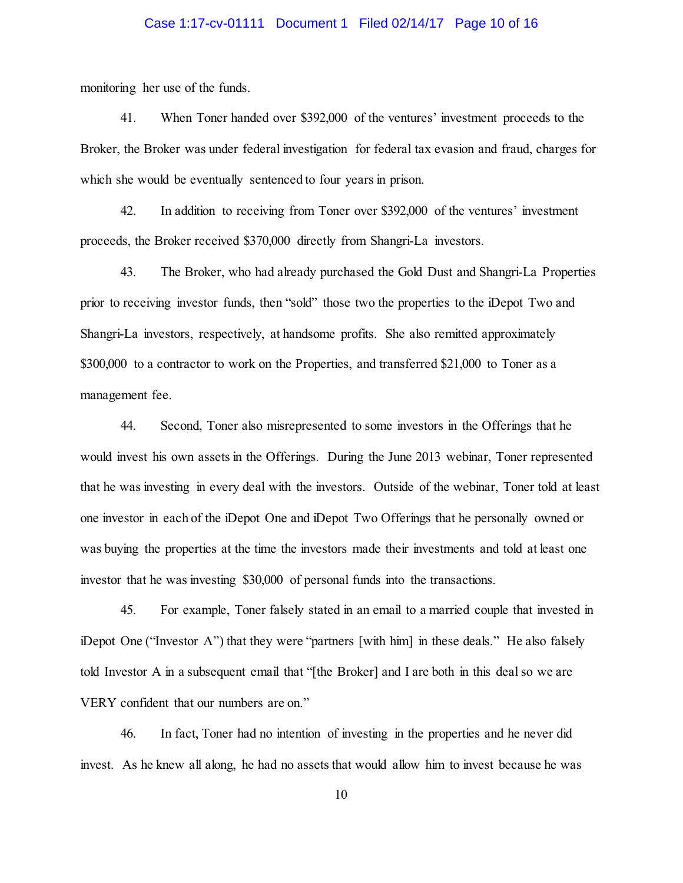#### Case 1:17-cv-01111 Document 1 Filed 02/14/17 Page 10 of 16

monitoring her use of the funds.

 41. When Toner handed over \$392,000 of the ventures' investment proceeds to the Broker, the Broker was under federal investigation for federal tax evasion and fraud, charges for which she would be eventually sentenced to four years in prison.

 42. In addition to receiving from Toner over \$392,000 of the ventures' investment proceeds, the Broker received \$370,000 directly from Shangri-La investors.

 43. The Broker, who had already purchased the Gold Dust and Shangri-La Properties prior to receiving investor funds, then "sold" those two the properties to the iDepot Two and Shangri-La investors, respectively, at handsome profits. She also remitted approximately \$300,000 to a contractor to work on the Properties, and transferred \$21,000 to Toner as a management fee.

 44. Second, Toner also misrepresented to some investors in the Offerings that he would invest his own assets in the Offerings. During the June 2013 webinar, Toner represented that he was investing in every deal with the investors. Outside of the webinar, Toner told at least one investor in each of the iDepot One and iDepot Two Offerings that he personally owned or was buying the properties at the time the investors made their investments and told at least one investor that he was investing \$30,000 of personal funds into the transactions.

 45. For example, Toner falsely stated in an email to a married couple that invested in iDepot One ("Investor A") that they were "partners [with him] in these deals." He also falsely told Investor A in a subsequent email that "[the Broker] and I are both in this deal so we are VERY confident that our numbers are on."

 46. In fact, Toner had no intention of investing in the properties and he never did invest. As he knew all along, he had no assets that would allow him to invest because he was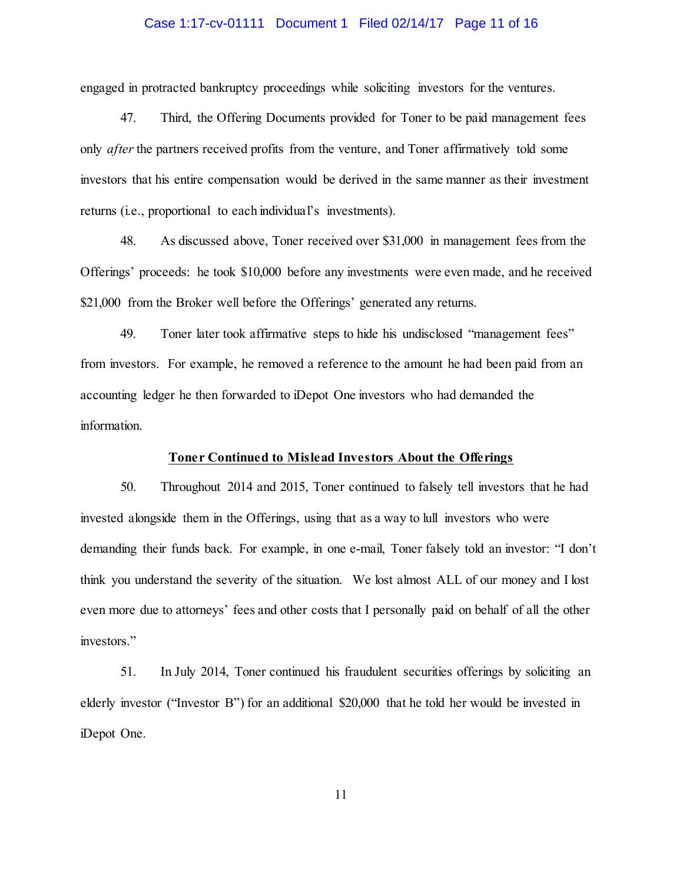#### Case 1:17-cv-01111 Document 1 Filed 02/14/17 Page 11 of 16

engaged in protracted bankruptcy proceedings while soliciting investors for the ventures.

 47. Third, the Offering Documents provided for Toner to be paid management fees only *after* the partners received profits from the venture, and Toner affirmatively told some investors that his entire compensation would be derived in the same manner as their investment returns (i.e., proportional to each individual's investments).

 48. As discussed above, Toner received over \$31,000 in management fees from the Offerings' proceeds: he took \$10,000 before any investments were even made, and he received \$21,000 from the Broker well before the Offerings' generated any returns.

 49. Toner later took affirmative steps to hide his undisclosed "management fees" from investors. For example, he removed a reference to the amount he had been paid from an accounting ledger he then forwarded to iDepot One investors who had demanded the information.

#### **Toner Continued to Mislead Investors About the Offerings**

 50. Throughout 2014 and 2015, Toner continued to falsely tell investors that he had invested alongside them in the Offerings, using that as a way to lull investors who were demanding their funds back. For example, in one e-mail, Toner falsely told an investor: "I don't think you understand the severity of the situation. We lost almost ALL of our money and I lost even more due to attorneys' fees and other costs that I personally paid on behalf of all the other investors."

 51. In July 2014, Toner continued his fraudulent securities offerings by soliciting an elderly investor ("Investor B") for an additional \$20,000 that he told her would be invested in iDepot One.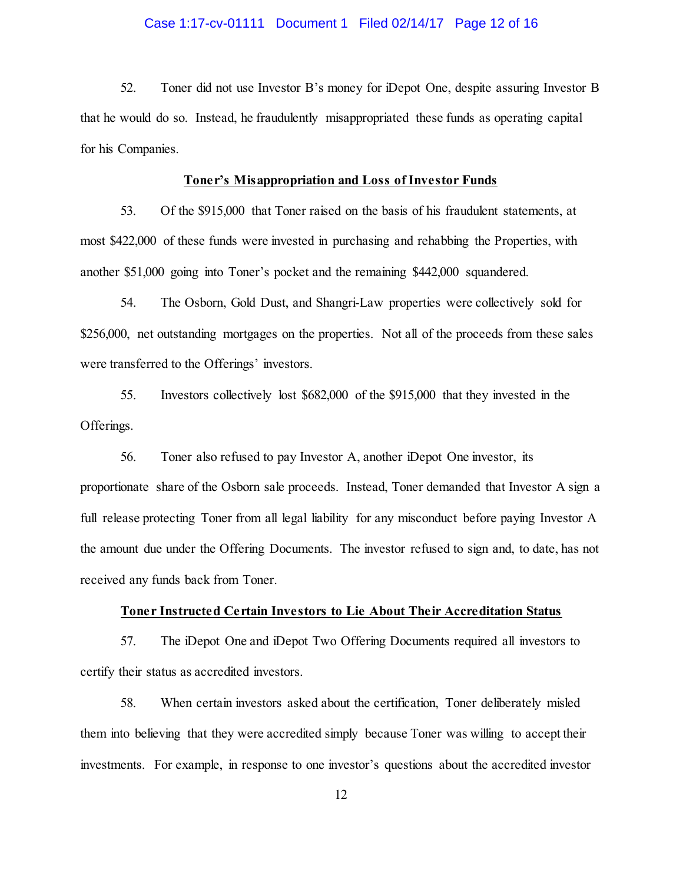#### Case 1:17-cv-01111 Document 1 Filed 02/14/17 Page 12 of 16

 52. Toner did not use Investor B's money for iDepot One, despite assuring Investor B that he would do so. Instead, he fraudulently misappropriated these funds as operating capital for his Companies.

#### **Toner's Misappropriation and Loss of Investor Funds**

 53. Of the \$915,000 that Toner raised on the basis of his fraudulent statements, at most \$422,000 of these funds were invested in purchasing and rehabbing the Properties, with another \$51,000 going into Toner's pocket and the remaining \$442,000 squandered.

 54. The Osborn, Gold Dust, and Shangri-Law properties were collectively sold for \$256,000, net outstanding mortgages on the properties. Not all of the proceeds from these sales were transferred to the Offerings' investors.

 55. Investors collectively lost \$682,000 of the \$915,000 that they invested in the Offerings.

 56. Toner also refused to pay Investor A, another iDepot One investor, its proportionate share of the Osborn sale proceeds. Instead, Toner demanded that Investor A sign a full release protecting Toner from all legal liability for any misconduct before paying Investor A the amount due under the Offering Documents. The investor refused to sign and, to date, has not received any funds back from Toner.

#### **Toner Instructed Certain Investors to Lie About Their Accreditation Status**

 57. The iDepot One and iDepot Two Offering Documents required all investors to certify their status as accredited investors.

 58. When certain investors asked about the certification, Toner deliberately misled them into believing that they were accredited simply because Toner was willing to accept their investments. For example, in response to one investor's questions about the accredited investor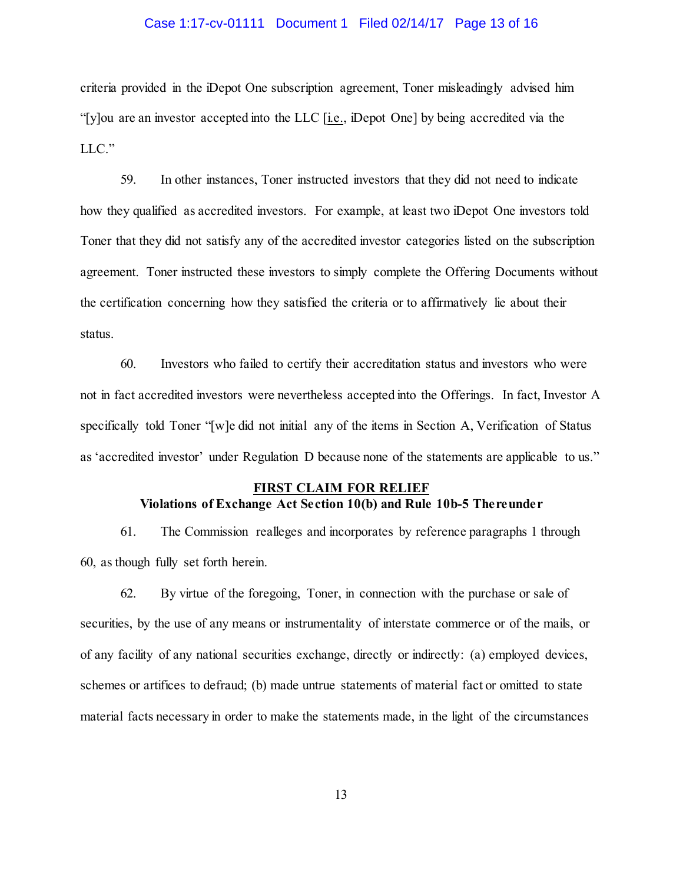# Case 1:17-cv-01111 Document 1 Filed 02/14/17 Page 13 of 16

 criteria provided in the iDepot One subscription agreement, Toner misleadingly advised him "[y]ou are an investor accepted into the LLC [i.e., iDepot One] by being accredited via the  $LLC.$ "

 LLC." 59. In other instances, Toner instructed investors that they did not need to indicate how they qualified as accredited investors. For example, at least two iDepot One investors told Toner that they did not satisfy any of the accredited investor categories listed on the subscription agreement. Toner instructed these investors to simply complete the Offering Documents without the certification concerning how they satisfied the criteria or to affirmatively lie about their status.

 60. Investors who failed to certify their accreditation status and investors who were not in fact accredited investors were nevertheless accepted into the Offerings. In fact, Investor A specifically told Toner "[w]e did not initial any of the items in Section A, Verification of Status as 'accredited investor' under Regulation D because none of the statements are applicable to us."

# **FIRST CLAIM FOR RELIEF Violations of Exchange Act Section 10(b) and Rule 10b-5 Thereunder**

 61. The Commission realleges and incorporates by reference paragraphs 1 through 60, as though fully set forth herein.

 62. By virtue of the foregoing, Toner, in connection with the purchase or sale of securities, by the use of any means or instrumentality of interstate commerce or of the mails, or of any facility of any national securities exchange, directly or indirectly: (a) employed devices, schemes or artifices to defraud; (b) made untrue statements of material fact or omitted to state material facts necessary in order to make the statements made, in the light of the circumstances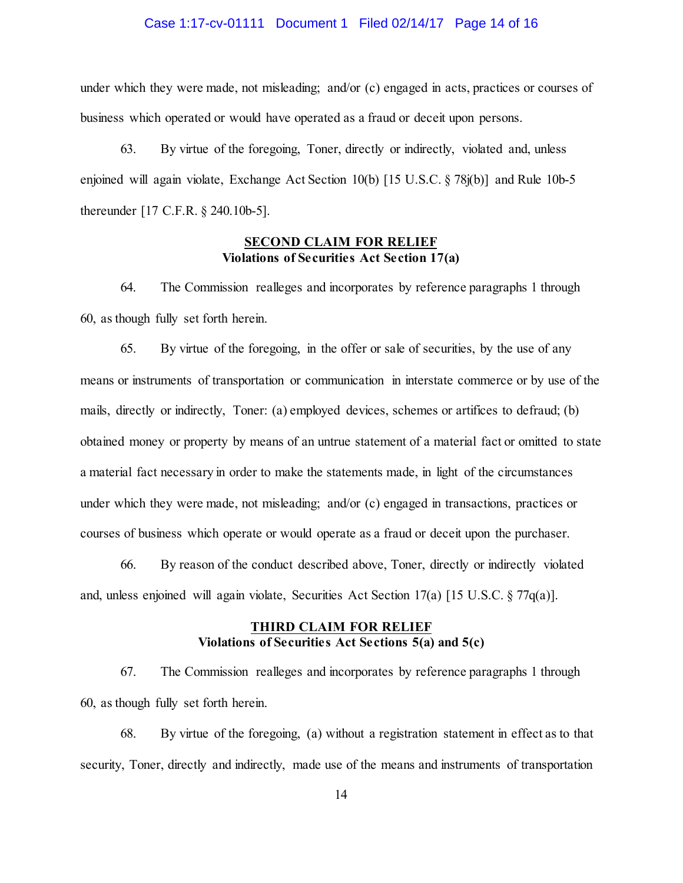#### Case 1:17-cv-01111 Document 1 Filed 02/14/17 Page 14 of 16

 under which they were made, not misleading; and/or (c) engaged in acts, practices or courses of business which operated or would have operated as a fraud or deceit upon persons.

 63. By virtue of the foregoing, Toner, directly or indirectly, violated and, unless enjoined will again violate, Exchange Act Section 10(b) [15 U.S.C. § 78j(b)] and Rule 10b-5 thereunder [17 C.F.R. § 240.10b-5].

# **Violations of Securities Act Section 17(a) SECOND CLAIM FOR RELIEF**

 64. The Commission realleges and incorporates by reference paragraphs 1 through 60, as though fully set forth herein.

 65. By virtue of the foregoing, in the offer or sale of securities, by the use of any means or instruments of transportation or communication in interstate commerce or by use of the mails, directly or indirectly, Toner: (a) employed devices, schemes or artifices to defraud; (b) obtained money or property by means of an untrue statement of a material fact or omitted to state a material fact necessary in order to make the statements made, in light of the circumstances under which they were made, not misleading; and/or (c) engaged in transactions, practices or courses of business which operate or would operate as a fraud or deceit upon the purchaser.

 66. By reason of the conduct described above, Toner, directly or indirectly violated and, unless enjoined will again violate, Securities Act Section 17(a) [15 U.S.C. § 77q(a)].

## **Violations of Securities Act Sections 5(a) and 5(c) THIRD CLAIM FOR RELIEF**

 67. The Commission realleges and incorporates by reference paragraphs 1 through 60, as though fully set forth herein.

 68. By virtue of the foregoing, (a) without a registration statement in effect as to that security, Toner, directly and indirectly, made use of the means and instruments of transportation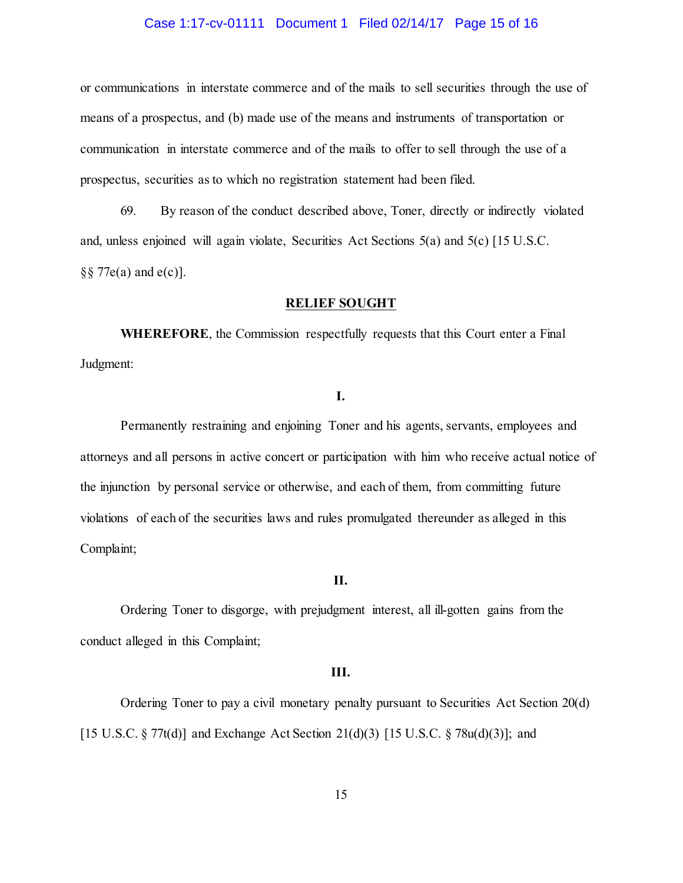#### Case 1:17-cv-01111 Document 1 Filed 02/14/17 Page 15 of 16

 or communications in interstate commerce and of the mails to sell securities through the use of means of a prospectus, and (b) made use of the means and instruments of transportation or communication in interstate commerce and of the mails to offer to sell through the use of a prospectus, securities as to which no registration statement had been filed.

 69. By reason of the conduct described above, Toner, directly or indirectly violated and, unless enjoined will again violate, Securities Act Sections 5(a) and 5(c) [15 U.S.C. §§ 77e(a) and e(c)].

#### **RELIEF SOUGHT**

 **WHEREFORE**, the Commission respectfully requests that this Court enter a Final Judgment:

### **I.**

 Permanently restraining and enjoining Toner and his agents, servants, employees and attorneys and all persons in active concert or participation with him who receive actual notice of the injunction by personal service or otherwise, and each of them, from committing future violations of each of the securities laws and rules promulgated thereunder as alleged in this Complaint;

### **II.**

 Ordering Toner to disgorge, with prejudgment interest, all ill-gotten gains from the conduct alleged in this Complaint;

#### **III.**

 Ordering Toner to pay a civil monetary penalty pursuant to Securities Act Section 20(d) [15 U.S.C. § 77t(d)] and Exchange Act Section 21(d)(3) [15 U.S.C. § 78u(d)(3)]; and